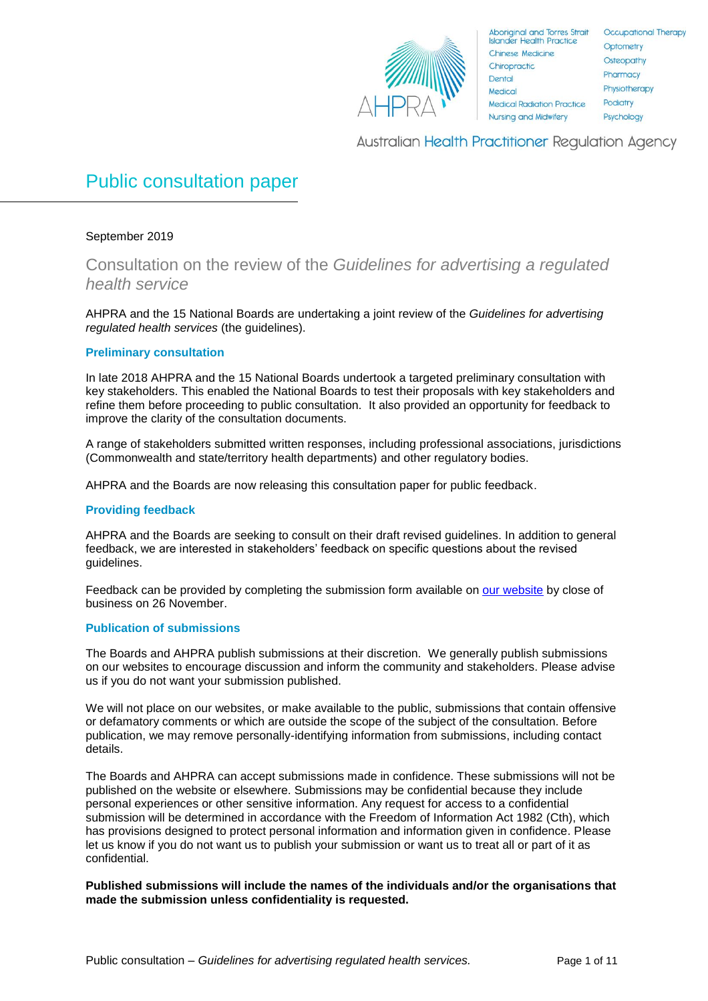

Occupational Therapy Optometry Osteopathy Pharmacy Physiotherapy Podiatry Psychology

**Australian Health Practitioner Regulation Agency** 

# Public consultation paper

# September 2019

Consultation on the review of the *Guidelines for advertising a regulated health service*

AHPRA and the 15 National Boards are undertaking a joint review of the *Guidelines for advertising regulated health services* (the guidelines).

# **Preliminary consultation**

In late 2018 AHPRA and the 15 National Boards undertook a targeted preliminary consultation with key stakeholders. This enabled the National Boards to test their proposals with key stakeholders and refine them before proceeding to public consultation. It also provided an opportunity for feedback to improve the clarity of the consultation documents.

A range of stakeholders submitted written responses, including professional associations, jurisdictions (Commonwealth and state/territory health departments) and other regulatory bodies.

AHPRA and the Boards are now releasing this consultation paper for public feedback.

# **Providing feedback**

AHPRA and the Boards are seeking to consult on their draft revised guidelines. In addition to general feedback, we are interested in stakeholders' feedback on specific questions about the revised guidelines.

Feedback can be provided by completing the submission form available on [our website](https://www.ahpra.gov.au/News/Consultations.aspx) by close of business on 26 November.

# **Publication of submissions**

The Boards and AHPRA publish submissions at their discretion. We generally publish submissions on our websites to encourage discussion and inform the community and stakeholders. Please advise us if you do not want your submission published.

We will not place on our websites, or make available to the public, submissions that contain offensive or defamatory comments or which are outside the scope of the subject of the consultation. Before publication, we may remove personally-identifying information from submissions, including contact details.

The Boards and AHPRA can accept submissions made in confidence. These submissions will not be published on the website or elsewhere. Submissions may be confidential because they include personal experiences or other sensitive information. Any request for access to a confidential submission will be determined in accordance with the Freedom of Information Act 1982 (Cth), which has provisions designed to protect personal information and information given in confidence. Please let us know if you do not want us to publish your submission or want us to treat all or part of it as confidential.

**Published submissions will include the names of the individuals and/or the organisations that made the submission unless confidentiality is requested.**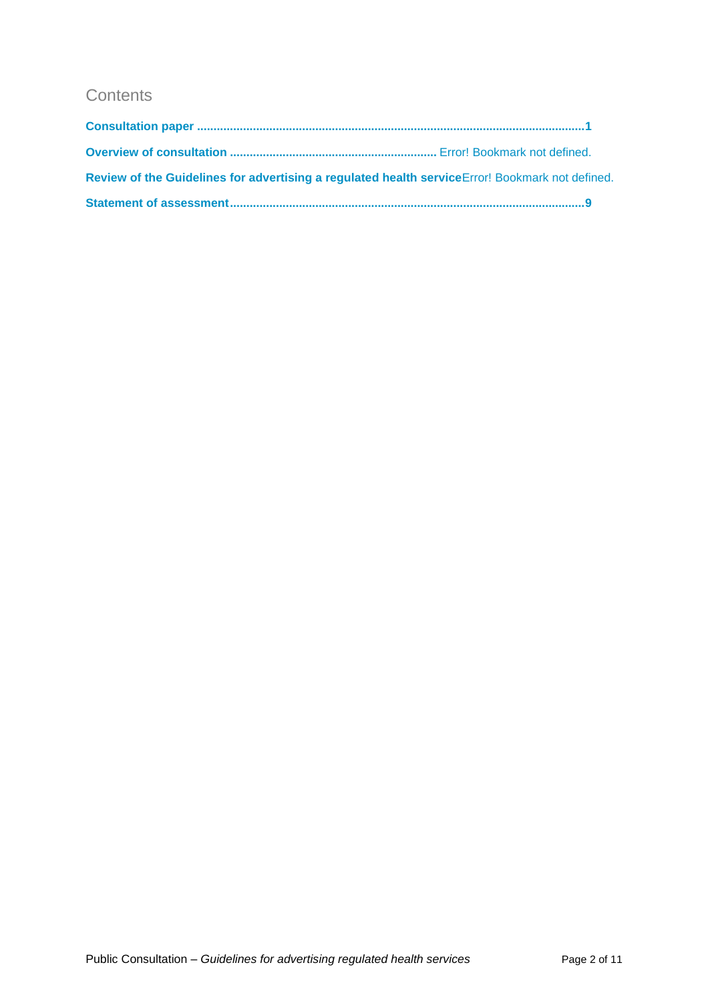# **Contents**

| Review of the Guidelines for advertising a regulated health service Error! Bookmark not defined. |  |
|--------------------------------------------------------------------------------------------------|--|
|                                                                                                  |  |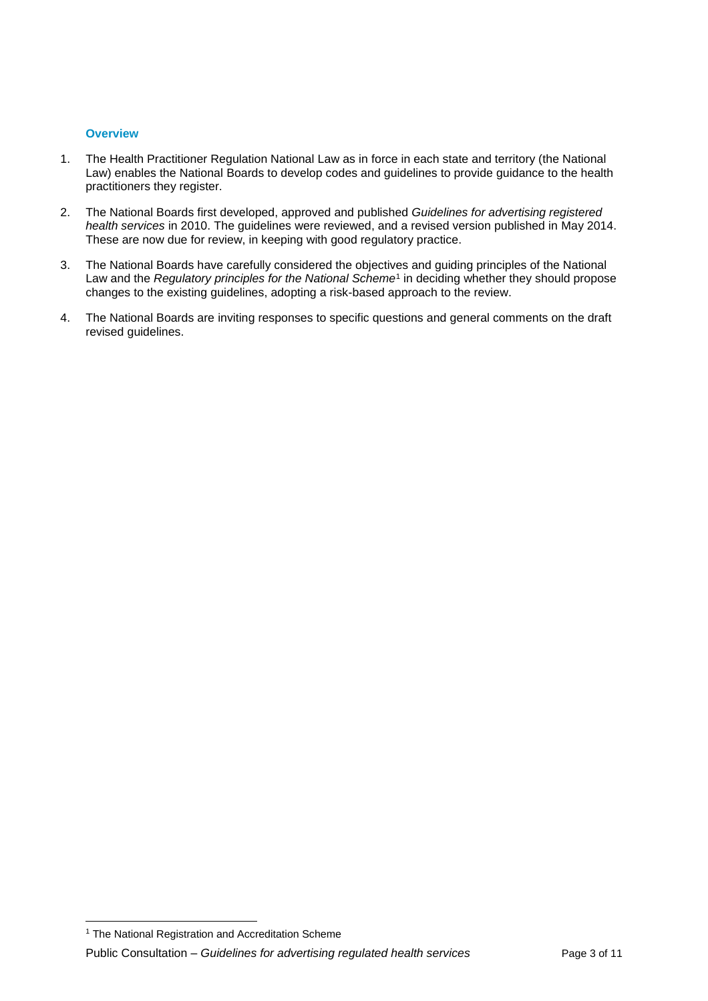# **Overview**

- 1. The Health Practitioner Regulation National Law as in force in each state and territory (the National Law) enables the National Boards to develop codes and guidelines to provide guidance to the health practitioners they register.
- 2. The National Boards first developed, approved and published *Guidelines for advertising registered health services* in 2010. The guidelines were reviewed, and a revised version published in May 2014. These are now due for review, in keeping with good regulatory practice.
- 3. The National Boards have carefully considered the objectives and guiding principles of the National Law and the *Regulatory principles for the National Scheme*<sup>1</sup> in deciding whether they should propose changes to the existing guidelines, adopting a risk-based approach to the review.
- 4. The National Boards are inviting responses to specific questions and general comments on the draft revised guidelines.

 $\overline{\phantom{a}}$ <sup>1</sup> The National Registration and Accreditation Scheme

Public Consultation – *Guidelines for advertising regulated health services* Page 3 of 11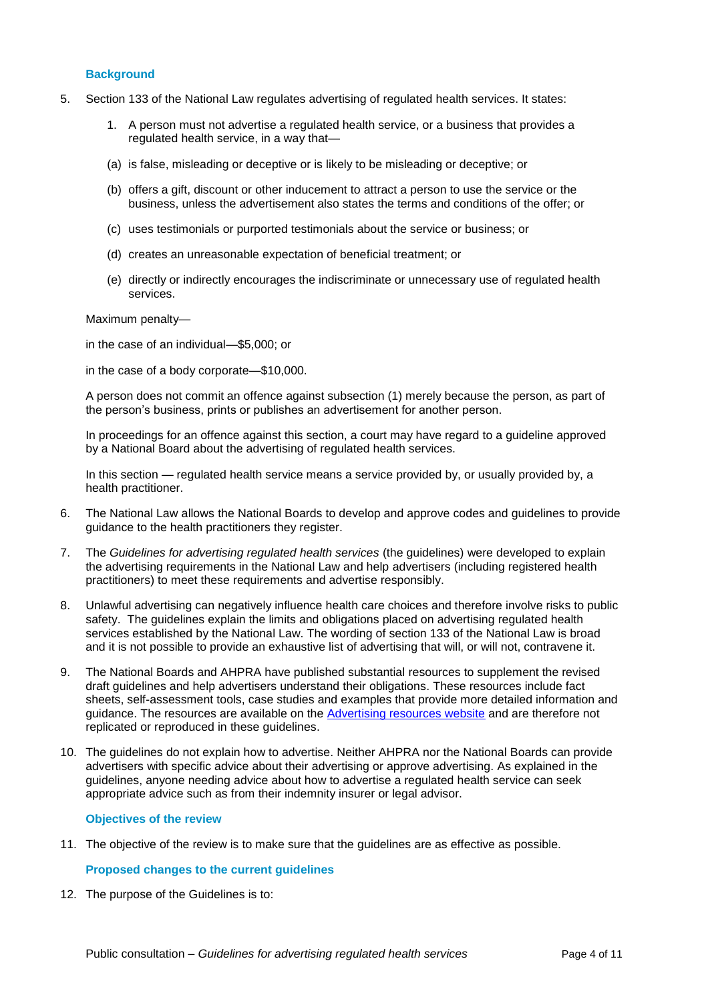# **Background**

- 5. Section 133 of the National Law regulates advertising of regulated health services. It states:
	- 1. A person must not advertise a regulated health service, or a business that provides a regulated health service, in a way that—
	- (a) is false, misleading or deceptive or is likely to be misleading or deceptive; or
	- (b) offers a gift, discount or other inducement to attract a person to use the service or the business, unless the advertisement also states the terms and conditions of the offer; or
	- (c) uses testimonials or purported testimonials about the service or business; or
	- (d) creates an unreasonable expectation of beneficial treatment; or
	- (e) directly or indirectly encourages the indiscriminate or unnecessary use of regulated health services.

Maximum penalty—

in the case of an individual—\$5,000; or

in the case of a body corporate—\$10,000.

A person does not commit an offence against subsection (1) merely because the person, as part of the person's business, prints or publishes an advertisement for another person.

In proceedings for an offence against this section, a court may have regard to a guideline approved by a National Board about the advertising of regulated health services.

In this section — regulated health service means a service provided by, or usually provided by, a health practitioner.

- 6. The National Law allows the National Boards to develop and approve codes and guidelines to provide guidance to the health practitioners they register.
- 7. The *Guidelines for advertising regulated health services* (the guidelines) were developed to explain the advertising requirements in the National Law and help advertisers (including registered health practitioners) to meet these requirements and advertise responsibly.
- 8. Unlawful advertising can negatively influence health care choices and therefore involve risks to public safety. The guidelines explain the limits and obligations placed on advertising regulated health services established by the National Law. The wording of section 133 of the National Law is broad and it is not possible to provide an exhaustive list of advertising that will, or will not, contravene it.
- 9. The National Boards and AHPRA have published substantial resources to supplement the revised draft guidelines and help advertisers understand their obligations. These resources include fact sheets, self-assessment tools, case studies and examples that provide more detailed information and guidance. The resources are available on the [Advertising resources website](https://www.ahpra.gov.au/Publications/Advertising-resources.aspx) and are therefore not replicated or reproduced in these guidelines.
- 10. The guidelines do not explain how to advertise. Neither AHPRA nor the National Boards can provide advertisers with specific advice about their advertising or approve advertising. As explained in the guidelines, anyone needing advice about how to advertise a regulated health service can seek appropriate advice such as from their indemnity insurer or legal advisor.

#### **Objectives of the review**

11. The objective of the review is to make sure that the guidelines are as effective as possible.

# **Proposed changes to the current guidelines**

12. The purpose of the Guidelines is to: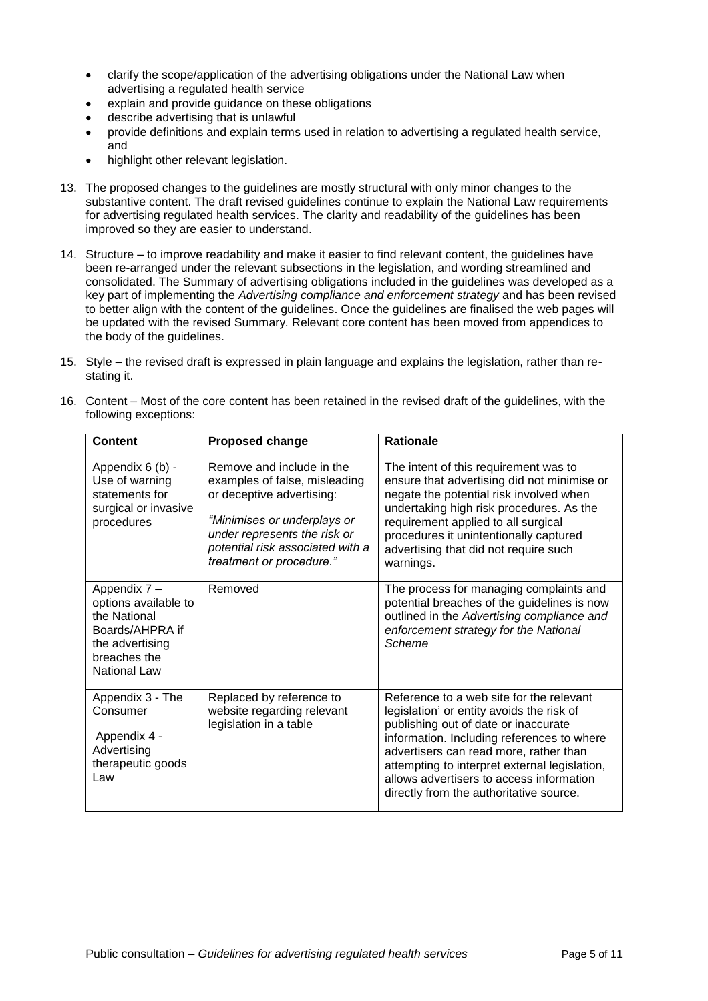- clarify the scope/application of the advertising obligations under the National Law when advertising a regulated health service
- explain and provide guidance on these obligations
- describe advertising that is unlawful
- provide definitions and explain terms used in relation to advertising a regulated health service, and
- highlight other relevant legislation.
- 13. The proposed changes to the guidelines are mostly structural with only minor changes to the substantive content. The draft revised guidelines continue to explain the National Law requirements for advertising regulated health services. The clarity and readability of the guidelines has been improved so they are easier to understand.
- 14. Structure to improve readability and make it easier to find relevant content, the guidelines have been re-arranged under the relevant subsections in the legislation, and wording streamlined and consolidated. The Summary of advertising obligations included in the guidelines was developed as a key part of implementing the *Advertising compliance and enforcement strategy* and has been revised to better align with the content of the guidelines. Once the guidelines are finalised the web pages will be updated with the revised Summary. Relevant core content has been moved from appendices to the body of the guidelines.
- 15. Style the revised draft is expressed in plain language and explains the legislation, rather than restating it.

| <b>Content</b>                                                                                                                    | <b>Proposed change</b>                                                                                                                                                                                                 | <b>Rationale</b>                                                                                                                                                                                                                                                                                                                                              |
|-----------------------------------------------------------------------------------------------------------------------------------|------------------------------------------------------------------------------------------------------------------------------------------------------------------------------------------------------------------------|---------------------------------------------------------------------------------------------------------------------------------------------------------------------------------------------------------------------------------------------------------------------------------------------------------------------------------------------------------------|
| Appendix 6 (b) -<br>Use of warning<br>statements for<br>surgical or invasive<br>procedures                                        | Remove and include in the<br>examples of false, misleading<br>or deceptive advertising:<br>"Minimises or underplays or<br>under represents the risk or<br>potential risk associated with a<br>treatment or procedure." | The intent of this requirement was to<br>ensure that advertising did not minimise or<br>negate the potential risk involved when<br>undertaking high risk procedures. As the<br>requirement applied to all surgical<br>procedures it unintentionally captured<br>advertising that did not require such<br>warnings.                                            |
| Appendix 7 -<br>options available to<br>the National<br>Boards/AHPRA if<br>the advertising<br>breaches the<br><b>National Law</b> | Removed                                                                                                                                                                                                                | The process for managing complaints and<br>potential breaches of the guidelines is now<br>outlined in the Advertising compliance and<br>enforcement strategy for the National<br>Scheme                                                                                                                                                                       |
| Appendix 3 - The<br>Consumer<br>Appendix 4 -<br>Advertising<br>therapeutic goods<br>Law                                           | Replaced by reference to<br>website regarding relevant<br>legislation in a table                                                                                                                                       | Reference to a web site for the relevant<br>legislation' or entity avoids the risk of<br>publishing out of date or inaccurate<br>information. Including references to where<br>advertisers can read more, rather than<br>attempting to interpret external legislation,<br>allows advertisers to access information<br>directly from the authoritative source. |

16. Content – Most of the core content has been retained in the revised draft of the guidelines, with the following exceptions: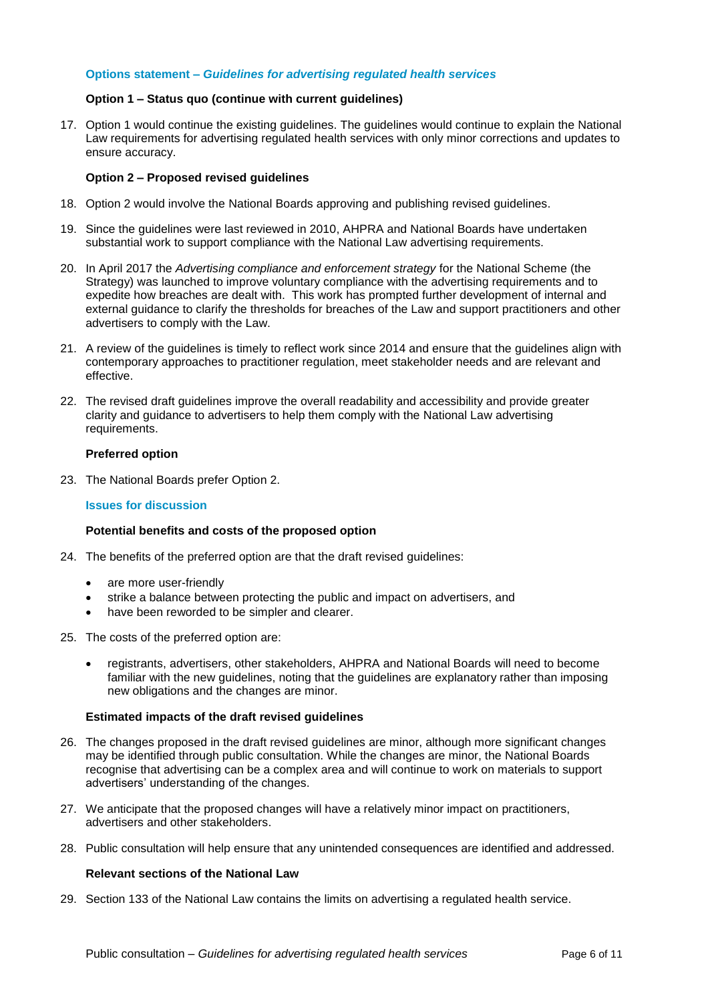# **Options statement –** *Guidelines for advertising regulated health services*

#### **Option 1 – Status quo (continue with current guidelines)**

17. Option 1 would continue the existing guidelines. The guidelines would continue to explain the National Law requirements for advertising regulated health services with only minor corrections and updates to ensure accuracy.

#### **Option 2 – Proposed revised guidelines**

- 18. Option 2 would involve the National Boards approving and publishing revised guidelines.
- 19. Since the guidelines were last reviewed in 2010, AHPRA and National Boards have undertaken substantial work to support compliance with the National Law advertising requirements.
- 20. In April 2017 the *Advertising compliance and enforcement strategy* for the National Scheme (the Strategy) was launched to improve voluntary compliance with the advertising requirements and to expedite how breaches are dealt with. This work has prompted further development of internal and external guidance to clarify the thresholds for breaches of the Law and support practitioners and other advertisers to comply with the Law.
- 21. A review of the guidelines is timely to reflect work since 2014 and ensure that the guidelines align with contemporary approaches to practitioner regulation, meet stakeholder needs and are relevant and effective.
- 22. The revised draft guidelines improve the overall readability and accessibility and provide greater clarity and guidance to advertisers to help them comply with the National Law advertising requirements.

#### **Preferred option**

23. The National Boards prefer Option 2.

#### **Issues for discussion**

# **Potential benefits and costs of the proposed option**

- 24. The benefits of the preferred option are that the draft revised guidelines:
	- are more user-friendly
	- strike a balance between protecting the public and impact on advertisers, and
	- have been reworded to be simpler and clearer.
- 25. The costs of the preferred option are:
	- registrants, advertisers, other stakeholders, AHPRA and National Boards will need to become familiar with the new guidelines, noting that the guidelines are explanatory rather than imposing new obligations and the changes are minor.

#### **Estimated impacts of the draft revised guidelines**

- 26. The changes proposed in the draft revised guidelines are minor, although more significant changes may be identified through public consultation. While the changes are minor, the National Boards recognise that advertising can be a complex area and will continue to work on materials to support advertisers' understanding of the changes.
- 27. We anticipate that the proposed changes will have a relatively minor impact on practitioners, advertisers and other stakeholders.
- 28. Public consultation will help ensure that any unintended consequences are identified and addressed.

#### **Relevant sections of the National Law**

29. Section 133 of the National Law contains the limits on advertising a regulated health service.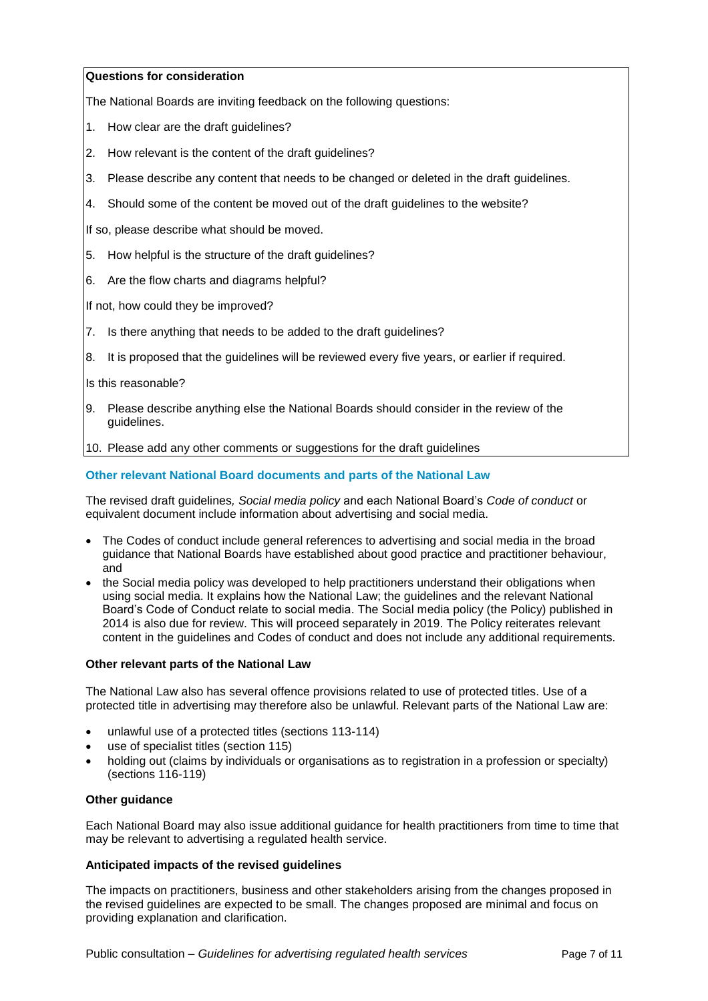# **Questions for consideration**

The National Boards are inviting feedback on the following questions:

- 1. How clear are the draft guidelines?
- 2. How relevant is the content of the draft guidelines?
- 3. Please describe any content that needs to be changed or deleted in the draft guidelines.
- 4. Should some of the content be moved out of the draft guidelines to the website?

If so, please describe what should be moved.

- 5. How helpful is the structure of the draft guidelines?
- 6. Are the flow charts and diagrams helpful?

If not, how could they be improved?

- 7. Is there anything that needs to be added to the draft guidelines?
- 8. It is proposed that the guidelines will be reviewed every five years, or earlier if required.

Is this reasonable?

9. Please describe anything else the National Boards should consider in the review of the guidelines.

10. Please add any other comments or suggestions for the draft guidelines

# **Other relevant National Board documents and parts of the National Law**

The revised draft guidelines*, Social media policy* and each National Board's *Code of conduct* or equivalent document include information about advertising and social media.

- The Codes of conduct include general references to advertising and social media in the broad guidance that National Boards have established about good practice and practitioner behaviour, and
- the Social media policy was developed to help practitioners understand their obligations when using social media. It explains how the National Law; the guidelines and the relevant National Board's Code of Conduct relate to social media. The Social media policy (the Policy) published in 2014 is also due for review. This will proceed separately in 2019. The Policy reiterates relevant content in the guidelines and Codes of conduct and does not include any additional requirements.

# **Other relevant parts of the National Law**

The National Law also has several offence provisions related to use of protected titles. Use of a protected title in advertising may therefore also be unlawful. Relevant parts of the National Law are:

- unlawful use of a protected titles (sections 113-114)
- use of specialist titles (section 115)
- holding out (claims by individuals or organisations as to registration in a profession or specialty) (sections 116-119)

# **Other guidance**

Each National Board may also issue additional guidance for health practitioners from time to time that may be relevant to advertising a regulated health service.

# **Anticipated impacts of the revised guidelines**

The impacts on practitioners, business and other stakeholders arising from the changes proposed in the revised guidelines are expected to be small. The changes proposed are minimal and focus on providing explanation and clarification.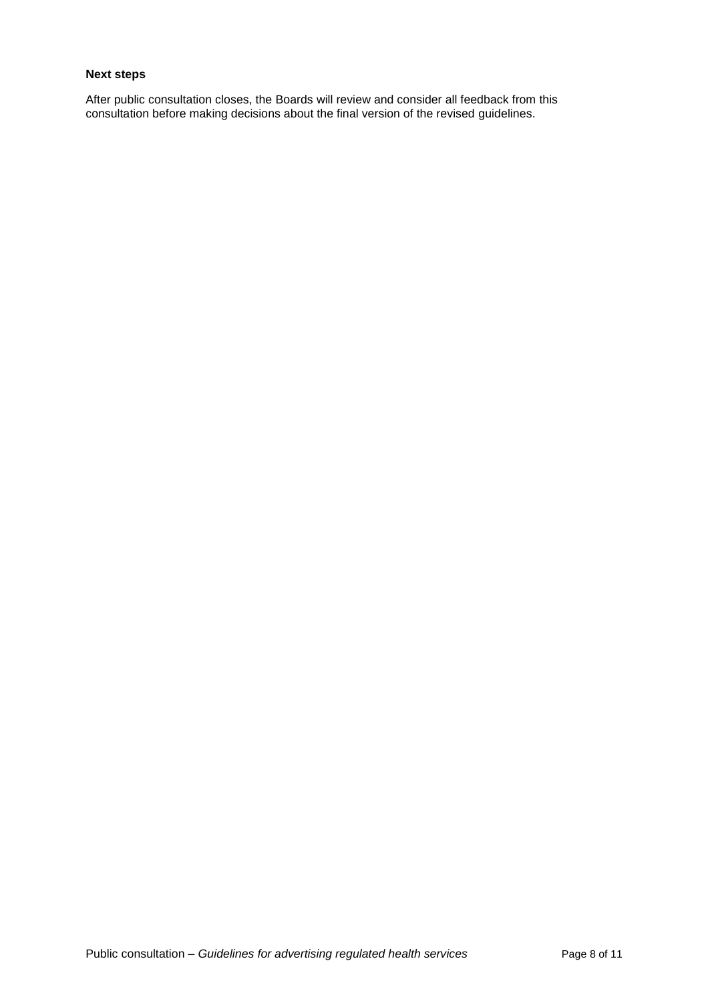# **Next steps**

After public consultation closes, the Boards will review and consider all feedback from this consultation before making decisions about the final version of the revised guidelines.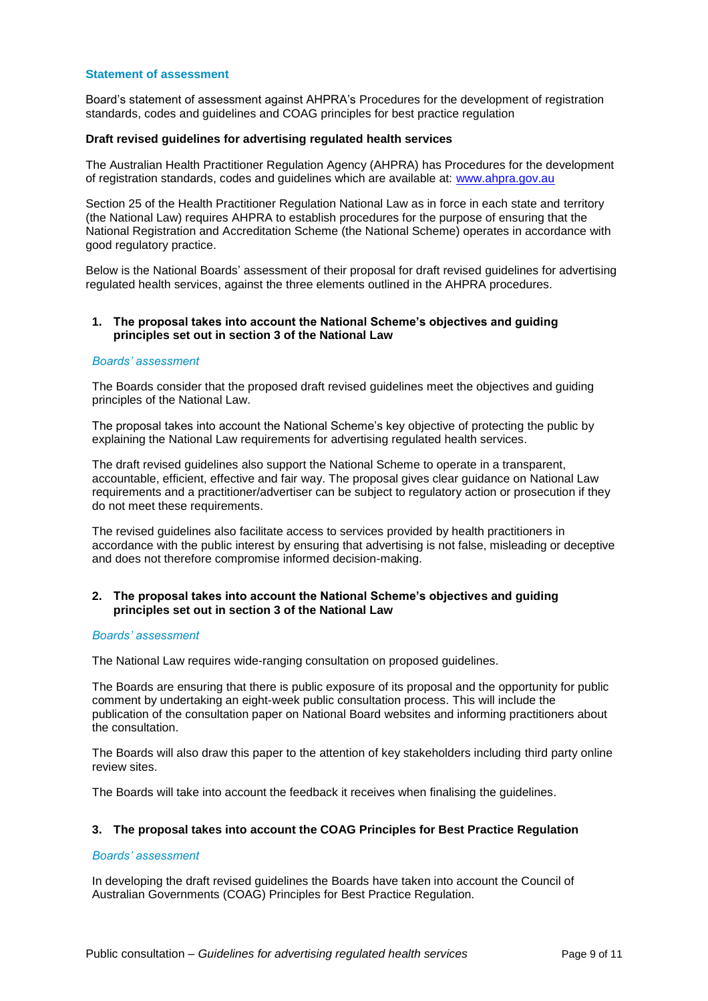#### **Statement of assessment**

Board's statement of assessment against AHPRA's Procedures for the development of registration standards, codes and guidelines and COAG principles for best practice regulation

#### **Draft revised guidelines for advertising regulated health services**

The Australian Health Practitioner Regulation Agency (AHPRA) has Procedures for the development of registration standards, codes and guidelines which are available at: [www.ahpra.gov.au](http://www.ahpra.gov.au/)

Section 25 of the Health Practitioner Regulation National Law as in force in each state and territory (the National Law) requires AHPRA to establish procedures for the purpose of ensuring that the National Registration and Accreditation Scheme (the National Scheme) operates in accordance with good regulatory practice.

Below is the National Boards' assessment of their proposal for draft revised guidelines for advertising regulated health services, against the three elements outlined in the AHPRA procedures.

### **1. The proposal takes into account the National Scheme's objectives and guiding principles set out in section 3 of the National Law**

# *Boards' assessment*

The Boards consider that the proposed draft revised guidelines meet the objectives and guiding principles of the National Law.

The proposal takes into account the National Scheme's key objective of protecting the public by explaining the National Law requirements for advertising regulated health services.

The draft revised guidelines also support the National Scheme to operate in a transparent, accountable, efficient, effective and fair way. The proposal gives clear guidance on National Law requirements and a practitioner/advertiser can be subject to regulatory action or prosecution if they do not meet these requirements.

The revised guidelines also facilitate access to services provided by health practitioners in accordance with the public interest by ensuring that advertising is not false, misleading or deceptive and does not therefore compromise informed decision-making.

# **2. The proposal takes into account the National Scheme's objectives and guiding principles set out in section 3 of the National Law**

#### *Boards' assessment*

The National Law requires wide-ranging consultation on proposed guidelines.

The Boards are ensuring that there is public exposure of its proposal and the opportunity for public comment by undertaking an eight-week public consultation process. This will include the publication of the consultation paper on National Board websites and informing practitioners about the consultation.

The Boards will also draw this paper to the attention of key stakeholders including third party online review sites.

The Boards will take into account the feedback it receives when finalising the guidelines.

# **3. The proposal takes into account the COAG Principles for Best Practice Regulation**

#### *Boards' assessment*

In developing the draft revised guidelines the Boards have taken into account the Council of Australian Governments (COAG) Principles for Best Practice Regulation.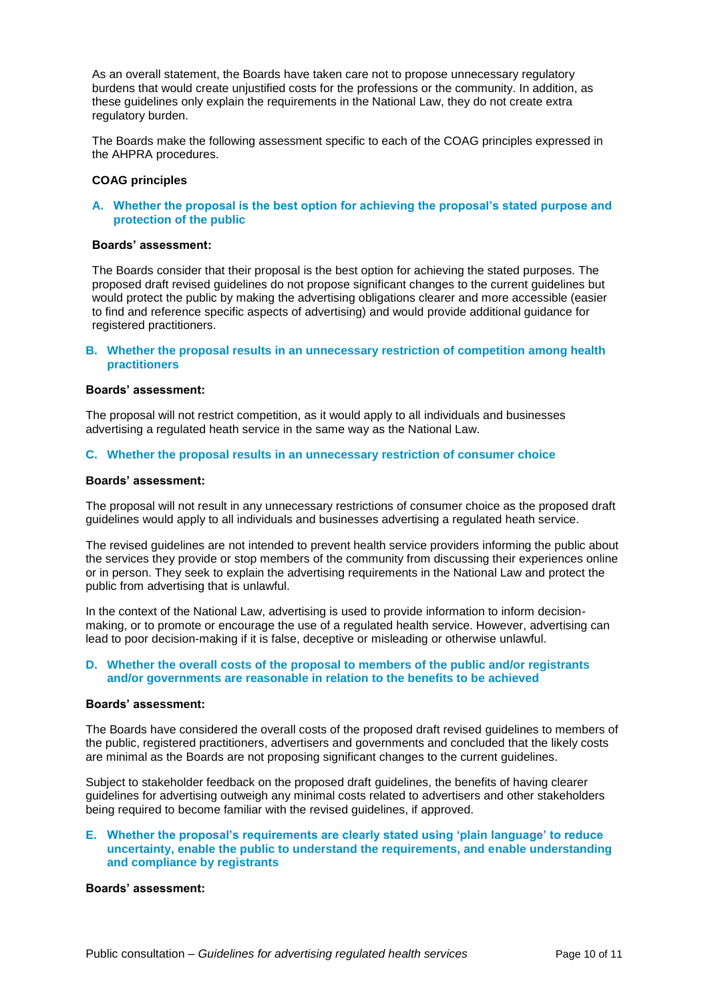As an overall statement, the Boards have taken care not to propose unnecessary regulatory burdens that would create unjustified costs for the professions or the community. In addition, as these guidelines only explain the requirements in the National Law, they do not create extra regulatory burden.

The Boards make the following assessment specific to each of the COAG principles expressed in the AHPRA procedures.

# **COAG principles**

# **A. Whether the proposal is the best option for achieving the proposal's stated purpose and protection of the public**

#### **Boards' assessment:**

The Boards consider that their proposal is the best option for achieving the stated purposes. The proposed draft revised guidelines do not propose significant changes to the current guidelines but would protect the public by making the advertising obligations clearer and more accessible (easier to find and reference specific aspects of advertising) and would provide additional guidance for registered practitioners.

# **B. Whether the proposal results in an unnecessary restriction of competition among health practitioners**

#### **Boards' assessment:**

The proposal will not restrict competition, as it would apply to all individuals and businesses advertising a regulated heath service in the same way as the National Law.

#### **C. Whether the proposal results in an unnecessary restriction of consumer choice**

#### **Boards' assessment:**

The proposal will not result in any unnecessary restrictions of consumer choice as the proposed draft guidelines would apply to all individuals and businesses advertising a regulated heath service.

The revised guidelines are not intended to prevent health service providers informing the public about the services they provide or stop members of the community from discussing their experiences online or in person. They seek to explain the advertising requirements in the National Law and protect the public from advertising that is unlawful.

In the context of the National Law, advertising is used to provide information to inform decisionmaking, or to promote or encourage the use of a regulated health service. However, advertising can lead to poor decision-making if it is false, deceptive or misleading or otherwise unlawful.

# **D. Whether the overall costs of the proposal to members of the public and/or registrants and/or governments are reasonable in relation to the benefits to be achieved**

#### **Boards' assessment:**

The Boards have considered the overall costs of the proposed draft revised guidelines to members of the public, registered practitioners, advertisers and governments and concluded that the likely costs are minimal as the Boards are not proposing significant changes to the current guidelines.

Subject to stakeholder feedback on the proposed draft guidelines, the benefits of having clearer guidelines for advertising outweigh any minimal costs related to advertisers and other stakeholders being required to become familiar with the revised guidelines, if approved.

#### **E. Whether the proposal's requirements are clearly stated using 'plain language' to reduce uncertainty, enable the public to understand the requirements, and enable understanding and compliance by registrants**

### **Boards' assessment:**